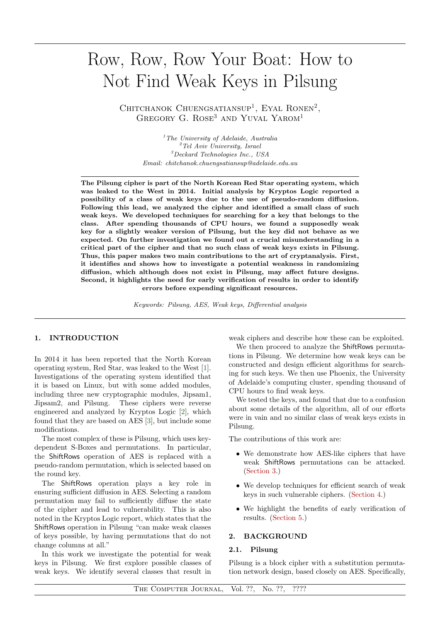# Row, Row, Row Your Boat: How to Not Find Weak Keys in Pilsung

CHITCHANOK CHUENGSATIANSUP<sup>1</sup>, EYAL RONEN<sup>2</sup>, GREGORY G. ROSE<sup>3</sup> AND YUVAL YAROM<sup>1</sup>

> $<sup>1</sup>$ The University of Adelaide, Australia</sup>  ${}^{2}$ Tel Aviv University, Israel <sup>3</sup>Deckard Technologies Inc., USA Email: chitchanok.chuengsatiansup@adelaide.edu.au

The Pilsung cipher is part of the North Korean Red Star operating system, which was leaked to the West in 2014. Initial analysis by Kryptos Logic reported a possibility of a class of weak keys due to the use of pseudo-random diffusion. Following this lead, we analyzed the cipher and identified a small class of such weak keys. We developed techniques for searching for a key that belongs to the class. After spending thousands of CPU hours, we found a supposedly weak key for a slightly weaker version of Pilsung, but the key did not behave as we expected. On further investigation we found out a crucial misunderstanding in a critical part of the cipher and that no such class of weak keys exists in Pilsung. Thus, this paper makes two main contributions to the art of cryptanalysis. First, it identifies and shows how to investigate a potential weakness in randomizing diffusion, which although does not exist in Pilsung, may affect future designs. Second, it highlights the need for early verification of results in order to identify errors before expending significant resources.

Keywords: Pilsung, AES, Weak keys, Differential analysis

## 1. INTRODUCTION

In 2014 it has been reported that the North Korean operating system, Red Star, was leaked to the West [\[1\]](#page-5-0). Investigations of the operating system identified that it is based on Linux, but with some added modules, including three new cryptographic modules, Jipsam1, Jipsam2, and Pilsung. These ciphers were reverse engineered and analyzed by Kryptos Logic [\[2\]](#page-5-1), which found that they are based on AES [\[3\]](#page-5-2), but include some modifications.

The most complex of these is Pilsung, which uses keydependent S-Boxes and permutations. In particular, the ShiftRows operation of AES is replaced with a pseudo-random permutation, which is selected based on the round key.

The ShiftRows operation plays a key role in ensuring sufficient diffusion in AES. Selecting a random permutation may fail to sufficiently diffuse the state of the cipher and lead to vulnerability. This is also noted in the Kryptos Logic report, which states that the ShiftRows operation in Pilsung "can make weak classes of keys possible, by having permutations that do not change columns at all."

In this work we investigate the potential for weak keys in Pilsung. We first explore possible classes of weak keys. We identify several classes that result in

weak ciphers and describe how these can be exploited.

We then proceed to analyze the ShiftRows permutations in Pilsung. We determine how weak keys can be constructed and design efficient algorithms for searching for such keys. We then use Phoenix, the University of Adelaide's computing cluster, spending thousand of CPU hours to find weak keys.

We tested the keys, and found that due to a confusion about some details of the algorithm, all of our efforts were in vain and no similar class of weak keys exists in Pilsung.

The contributions of this work are:

- We demonstrate how AES-like ciphers that have weak ShiftRows permutations can be attacked. [\(Section 3.](#page-2-0))
- We develop techniques for efficient search of weak keys in such vulnerable ciphers. [\(Section 4.](#page-3-0))
- We highlight the benefits of early verification of results. [\(Section 5.](#page-4-0))

# <span id="page-0-0"></span>2. BACKGROUND

### 2.1. Pilsung

Pilsung is a block cipher with a substitution permutation network design, based closely on AES. Specifically,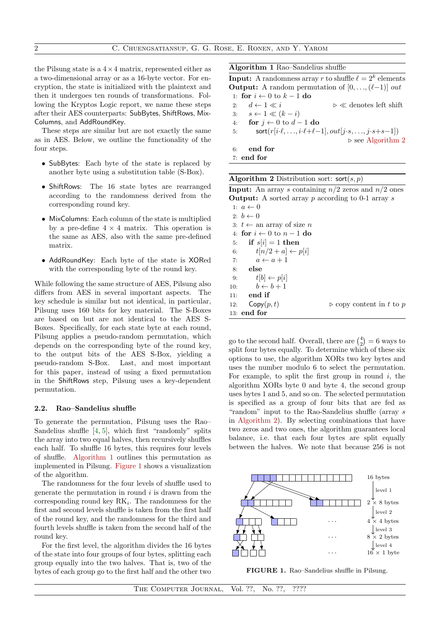the Pilsung state is a  $4 \times 4$  matrix, represented either as a two-dimensional array or as a 16-byte vector. For encryption, the state is initialized with the plaintext and then it undergoes ten rounds of transformations. Following the Kryptos Logic report, we name these steps after their AES counterparts: SubBytes, ShiftRows, Mix-Columns, and AddRoundKey.

These steps are similar but are not exactly the same as in AES. Below, we outline the functionality of the four steps.

- SubBytes: Each byte of the state is replaced by another byte using a substitution table (S-Box).
- ShiftRows: The 16 state bytes are rearranged according to the randomness derived from the corresponding round key.
- MixColumns: Each column of the state is multiplied by a pre-define  $4 \times 4$  matrix. This operation is the same as AES, also with the same pre-defined matrix.
- AddRoundKey: Each byte of the state is XORed with the corresponding byte of the round key.

While following the same structure of AES, Pilsung also differs from AES in several important aspects. The key schedule is similar but not identical, in particular, Pilsung uses 160 bits for key material. The S-Boxes are based on but are not identical to the AES S-Boxes. Specifically, for each state byte at each round, Pilsung applies a pseudo-random permutation, which depends on the corresponding byte of the round key, to the output bits of the AES S-Box, yielding a pseudo-random S-Box. Last, and most important for this paper, instead of using a fixed permutation in the ShiftRows step, Pilsung uses a key-dependent permutation.

### 2.2. Rao–Sandelius shuffle

To generate the permutation, Pilsung uses the Rao– Sandelius shuffle [\[4,](#page-5-3) [5\]](#page-5-4), which first "randomly" splits the array into two equal halves, then recursively shuffles each half. To shuffle 16 bytes, this requires four levels of shuffle. [Algorithm 1](#page-1-0) outlines this permutation as implemented in Pilsung. [Figure 1](#page-1-1) shows a visualization of the algorithm.

The randomness for the four levels of shuffle used to generate the permutation in round  $i$  is drawn from the corresponding round key  $RK_i$ . The randomness for the first and second levels shuffle is taken from the first half of the round key, and the randomness for the third and fourth levels shuffle is taken from the second half of the round key.

For the first level, the algorithm divides the 16 bytes of the state into four groups of four bytes, splitting each group equally into the two halves. That is, two of the bytes of each group go to the first half and the other two Algorithm 1 Rao–Sandelius shuffle

<span id="page-1-0"></span>**Input:** A randomness array r to shuffle  $\ell = 2^k$  elements **Output:** A random permutation of  $[0, \ldots, (\ell-1)]$  *out* 1: for  $i \leftarrow 0$  to  $k-1$  do

2:  $d \leftarrow 1 \ll i$   $\triangleright \ll$  denotes left shift 3:  $s \leftarrow 1 \ll (k - i)$ 4: for  $j \leftarrow 0$  to  $d-1$  do 5:  $\mathsf{sort}(r[i\cdot \ell, \ldots, i\cdot \ell+\ell-1], out[j\cdot s, \ldots, j\cdot s+s-1])$  $\triangleright$  see [Algorithm 2](#page-1-2) 6: end for 7: end for

| <b>Algorithm 2</b> Distribution sort: $\text{sort}(s, p)$ |  |  |  |  |
|-----------------------------------------------------------|--|--|--|--|
|-----------------------------------------------------------|--|--|--|--|

<span id="page-1-2"></span>**Input:** An array s containing  $n/2$  zeros and  $n/2$  ones **Output:** A sorted array p according to 0-1 array s

| 1: $a \leftarrow 0$                  |                                         |
|--------------------------------------|-----------------------------------------|
| $2: b \leftarrow 0$                  |                                         |
| 3: $t \leftarrow$ an array of size n |                                         |
| 4: for $i \leftarrow 0$ to $n-1$ do  |                                         |
| 5: if $s[i] = 1$ then                |                                         |
| $t[n/2 + a] \leftarrow p[i]$<br>6:   |                                         |
| 7: $a \leftarrow a + 1$              |                                         |
| 8: else                              |                                         |
| 9: $t[b] \leftarrow p[i]$            |                                         |
| 10: $b \leftarrow b + 1$             |                                         |
| $11:$ end if                         |                                         |
| 12: $\mathsf{Copy}(p, t)$            | $\triangleright$ copy content in t to p |
| 13: end for                          |                                         |
|                                      |                                         |

go to the second half. Overall, there are  $\binom{4}{2} = 6$  ways to split four bytes equally. To determine which of these six options to use, the algorithm XORs two key bytes and uses the number modulo 6 to select the permutation. For example, to split the first group in round  $i$ , the algorithm XORs byte 0 and byte 4, the second group uses bytes 1 and 5, and so on. The selected permutation is specified as a group of four bits that are fed as "random" input to the Rao-Sandelius shuffle (array s in [Algorithm 2\)](#page-1-2). By selecting combinations that have two zeros and two ones, the algorithm guarantees local balance, i.e. that each four bytes are split equally between the halves. We note that because 256 is not



<span id="page-1-1"></span>FIGURE 1. Rao–Sandelius shuffle in Pilsung.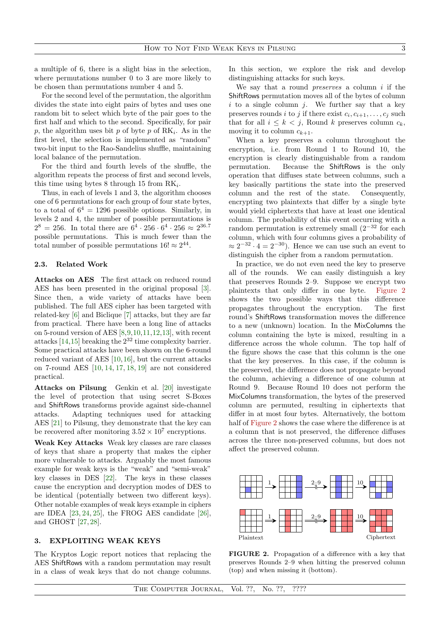a multiple of 6, there is a slight bias in the selection, where permutations number 0 to 3 are more likely to be chosen than permutations number 4 and 5.

For the second level of the permutation, the algorithm divides the state into eight pairs of bytes and uses one random bit to select which byte of the pair goes to the first half and which to the second. Specifically, for pair  $p$ , the algorithm uses bit  $p$  of byte  $p$  of RK<sub>i</sub>. As in the first level, the selection is implemented as "random" two-bit input to the Rao-Sandelius shuffle, maintaining local balance of the permutation.

For the third and fourth levels of the shuffle, the algorithm repeats the process of first and second levels, this time using bytes 8 through 15 from  $\mathrm{RK}_i$ .

Thus, in each of levels 1 and 3, the algorithm chooses one of 6 permutations for each group of four state bytes, to a total of  $6^4 = 1296$  possible options. Similarly, in levels 2 and 4, the number of possible permutations is  $2^8 = 256$ . In total there are  $6^4 \cdot 256 \cdot 6^4 \cdot 256 \approx 2^{36.7}$ possible permutations. This is much fewer than the total number of possible permutations  $16! \approx 2^{44}$ .

# 2.3. Related Work

Attacks on AES The first attack on reduced round AES has been presented in the original proposal [\[3\]](#page-5-2). Since then, a wide variety of attacks have been published. The full AES cipher has been targeted with related-key [\[6\]](#page-5-5) and Biclique [\[7\]](#page-5-6) attacks, but they are far from practical. There have been a long line of attacks on 5-round version of AES [\[8,](#page-5-7)[9,](#page-5-8)[10,](#page-5-9)[11](#page-5-10)[,12,](#page-5-11)[13\]](#page-5-12), with recent attacks [\[14,](#page-5-13)[15\]](#page-5-14) breaking the  $2^{32}$  time complexity barrier. Some practical attacks have been shown on the 6-round reduced variant of AES [\[10,](#page-5-9)[16\]](#page-5-15), but the current attacks on 7-round AES [\[10,](#page-5-9) [14,](#page-5-13) [17,](#page-5-16) [18,](#page-5-17) [19\]](#page-5-18) are not considered practical.

Attacks on Pilsung Genkin et al. [\[20\]](#page-5-19) investigate the level of protection that using secret S-Boxes and ShiftRows transforms provide against side-channel attacks. Adapting techniques used for attacking AES [\[21\]](#page-5-20) to Pilsung, they demonstrate that the key can be recovered after monitoring  $3.52 \times 10^7$  encryptions.

Weak Key Attacks Weak key classes are rare classes of keys that share a property that makes the cipher more vulnerable to attacks. Arguably the most famous example for weak keys is the "weak" and "semi-weak" key classes in DES [\[22\]](#page-5-21). The keys in these classes cause the encryption and decryption modes of DES to be identical (potentially between two different keys). Other notable examples of weak keys example in ciphers are IDEA  $[23, 24, 25]$  $[23, 24, 25]$  $[23, 24, 25]$  $[23, 24, 25]$  $[23, 24, 25]$ , the FROG AES candidate  $[26]$ , and GHOST [\[27,](#page-5-26) [28\]](#page-5-27).

# <span id="page-2-0"></span>3. EXPLOITING WEAK KEYS

The Kryptos Logic report notices that replacing the AES ShiftRows with a random permutation may result in a class of weak keys that do not change columns. In this section, we explore the risk and develop distinguishing attacks for such keys.

We say that a round *preserves* a column  $i$  if the ShiftRows permutation moves all of the bytes of column  $i$  to a single column  $j$ . We further say that a key preserves rounds *i* to *j* if there exist  $c_i, c_{i+1}, \ldots, c_j$  such that for all  $i \leq k < j$ , Round k preserves column  $c_k$ , moving it to column  $c_{k+1}$ .

When a key preserves a column throughout the encryption, i.e. from Round 1 to Round 10, the encryption is clearly distinguishable from a random permutation. Because the ShiftRows is the only operation that diffuses state between columns, such a key basically partitions the state into the preserved column and the rest of the state. Consequently, encrypting two plaintexts that differ by a single byte would yield ciphertexts that have at least one identical column. The probability of this event occurring with a random permutation is extremely small  $(2^{-32}$  for each column, which with four columns gives a probability of  $\approx 2^{-32} \cdot 4 = 2^{-30}$ . Hence we can use such an event to distinguish the cipher from a random permutation.

In practice, we do not even need the key to preserve all of the rounds. We can easily distinguish a key that preserves Rounds 2–9. Suppose we encrypt two plaintexts that only differ in one byte. [Figure 2](#page-2-1) shows the two possible ways that this difference propagates throughout the encryption. The first round's ShiftRows transformation moves the difference to a new (unknown) location. In the MixColumns the column containing the byte is mixed, resulting in a difference across the whole column. The top half of the figure shows the case that this column is the one that the key preserves. In this case, if the column is the preserved, the difference does not propagate beyond the column, achieving a difference of one column at Round 9. Because Round 10 does not perform the MixColumns transformation, the bytes of the preserved column are permuted, resulting in ciphertexts that differ in at most four bytes. Alternatively, the bottom half of [Figure 2](#page-2-1) shows the case where the difference is at a column that is not preserved, the difference diffuses across the three non-preserved columns, but does not affect the preserved column.



<span id="page-2-1"></span>FIGURE 2. Propagation of a difference with a key that preserves Rounds 2–9 when hitting the preserved column (top) and when missing it (bottom).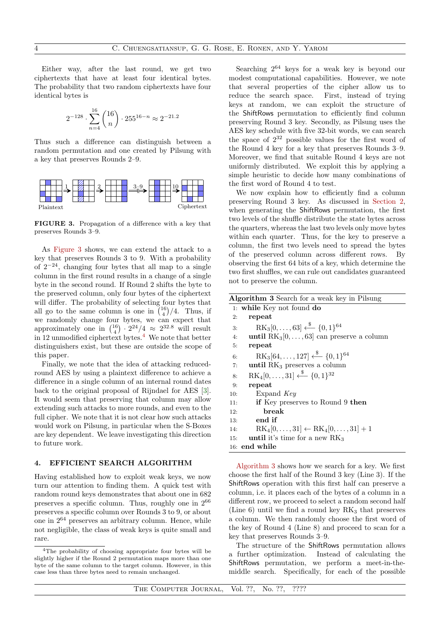Either way, after the last round, we get two ciphertexts that have at least four identical bytes. The probability that two random ciphertexts have four identical bytes is

$$
2^{-128} \cdot \sum_{n=4}^{16} \binom{16}{n} \cdot 255^{16-n} \approx 2^{-21.2}
$$

Thus such a difference can distinguish between a random permutation and one created by Pilsung with a key that preserves Rounds 2–9.



<span id="page-3-1"></span>FIGURE 3. Propagation of a difference with a key that preserves Rounds 3–9.

As [Figure 3](#page-3-1) shows, we can extend the attack to a key that preserves Rounds 3 to 9. With a probability of  $2^{-24}$ , changing four bytes that all map to a single column in the first round results in a change of a single byte in the second round. If Round 2 shifts the byte to the preserved column, only four bytes of the ciphertext will differ. The probability of selecting four bytes that all go to the same column is one in  $\binom{16}{4}/4$ . Thus, if we randomly change four bytes, we can expect that approximately one in  $\binom{16}{4} \cdot 2^{24}/4 \approx 2^{32.8}$  will result in 12 unmodified ciphertext bytes. $4$  We note that better distinguishers exist, but these are outside the scope of this paper.

Finally, we note that the idea of attacking reducedround AES by using a plaintext difference to achieve a difference in a single column of an internal round dates back to the original proposal of Rijndael for AES [\[3\]](#page-5-2). It would seem that preserving that column may allow extending such attacks to more rounds, and even to the full cipher. We note that it is not clear how such attacks would work on Pilsung, in particular when the S-Boxes are key dependent. We leave investigating this direction to future work.

## <span id="page-3-0"></span>4. EFFICIENT SEARCH ALGORITHM

Having established how to exploit weak keys, we now turn our attention to finding them. A quick test with random round keys demonstrates that about one in 682 preserves a specific column. Thus, roughly one in  $2^{66}$ preserves a specific column over Rounds 3 to 9, or about one in 2<sup>64</sup> preserves an arbitrary column. Hence, while not negligible, the class of weak keys is quite small and rare.

Searching  $2^{64}$  keys for a weak key is beyond our modest computational capabilities. However, we note that several properties of the cipher allow us to reduce the search space. First, instead of trying keys at random, we can exploit the structure of the ShiftRows permutation to efficiently find column preserving Round 3 key. Secondly, as Pilsung uses the AES key schedule with five 32-bit words, we can search the space of  $2^{32}$  possible values for the first word of the Round 4 key for a key that preserves Rounds 3–9. Moreover, we find that suitable Round 4 keys are not uniformly distributed. We exploit this by applying a simple heuristic to decide how many combinations of the first word of Round 4 to test.

We now explain how to efficiently find a column preserving Round 3 key. As discussed in [Section 2,](#page-0-0) when generating the ShiftRows permutation, the first two levels of the shuffle distribute the state bytes across the quarters, whereas the last two levels only move bytes within each quarter. Thus, for the key to preserve a column, the first two levels need to spread the bytes of the preserved column across different rows. By observing the first 64 bits of a key, which determine the two first shuffles, we can rule out candidates guaranteed not to preserve the column.

<span id="page-3-3"></span>

| <b>Algorithm 3</b> Search for a weak key in Pilsung                    |  |  |  |  |
|------------------------------------------------------------------------|--|--|--|--|
| 1: while Key not found do                                              |  |  |  |  |
| repeat<br>2:                                                           |  |  |  |  |
| $RK_3[0,\ldots,63] \stackrel{\$}{\longleftarrow} \{0,1\}^{64}$<br>3:   |  |  |  |  |
| <b>until</b> $RK_3[0,\ldots,63]$ can preserve a column<br>4:           |  |  |  |  |
| repeat<br>5:                                                           |  |  |  |  |
| $RK_3[64,\ldots,127] \stackrel{\$}{\longleftarrow} \{0,1\}^{64}$<br>6: |  |  |  |  |
| until $RK3$ preserves a column<br>7:                                   |  |  |  |  |
| $RK_4[0,\ldots,31] \xleftarrow{\$} \{0,1\}^{32}$<br>8:                 |  |  |  |  |
| repeat<br>9:                                                           |  |  |  |  |
| Expand Key<br>10:                                                      |  |  |  |  |
| <b>if</b> Key preserves to Round 9 then<br>11:                         |  |  |  |  |
| break<br>12:                                                           |  |  |  |  |
| end if<br>13:                                                          |  |  |  |  |
| $RK_4[0,\ldots,31] \leftarrow RK_4[0,\ldots,31]+1$<br>14:              |  |  |  |  |
| until it's time for a new $\rm RK_3$<br>15:                            |  |  |  |  |
| $16:$ end while                                                        |  |  |  |  |

[Algorithm 3](#page-3-3) shows how we search for a key. We first choose the first half of the Round 3 key (Line 3). If the ShiftRows operation with this first half can preserve a column, i.e. it places each of the bytes of a column in a different row, we proceed to select a random second half (Line 6) until we find a round key  $RK<sub>3</sub>$  that preserves a column. We then randomly choose the first word of the key of Round 4 (Line 8) and proceed to scan for a key that preserves Rounds 3–9.

The structure of the ShiftRows permutation allows a further optimization. Instead of calculating the ShiftRows permutation, we perform a meet-in-themiddle search. Specifically, for each of the possible

<span id="page-3-2"></span><sup>4</sup>The probability of choosing appropriate four bytes will be slightly higher if the Round 2 permutation maps more than one byte of the same column to the target column. However, in this case less than three bytes need to remain unchanged.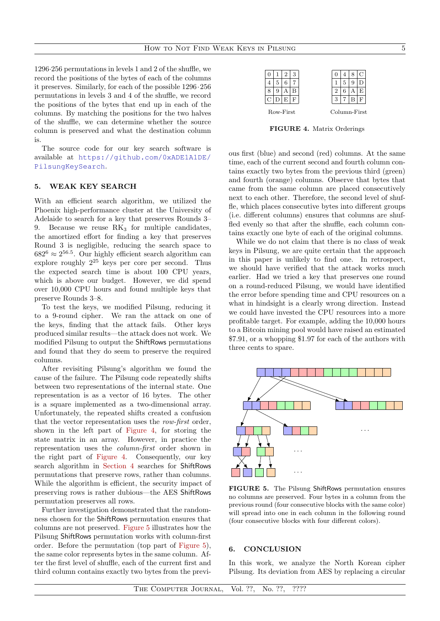1296·256 permutations in levels 1 and 2 of the shuffle, we record the positions of the bytes of each of the columns it preserves. Similarly, for each of the possible 1296·256 permutations in levels 3 and 4 of the shuffle, we record the positions of the bytes that end up in each of the columns. By matching the positions for the two halves of the shuffle, we can determine whether the source column is preserved and what the destination column is.

The source code for our key search software is available at [https://github.com/0xADE1A1DE/](https://github.com/0xADE1A1DE/PilsungKeySearch) [PilsungKeySearch](https://github.com/0xADE1A1DE/PilsungKeySearch).

## <span id="page-4-0"></span>5. WEAK KEY SEARCH

With an efficient search algorithm, we utilized the Phoenix high-performance cluster at the University of Adelaide to search for a key that preserves Rounds 3– 9. Because we reuse  $RK<sub>3</sub>$  for multiple candidates, the amortized effort for finding a key that preserves Round 3 is negligible, reducing the search space to  $682^6 \approx 2^{56.5}$ . Our highly efficient search algorithm can explore roughly  $2^{25}$  keys per core per second. Thus the expected search time is about 100 CPU years, which is above our budget. However, we did spend over 10,000 CPU hours and found multiple keys that preserve Rounds 3–8.

To test the keys, we modified Pilsung, reducing it to a 9-round cipher. We ran the attack on one of the keys, finding that the attack fails. Other keys produced similar results—the attack does not work. We modified Pilsung to output the ShiftRows permutations and found that they do seem to preserve the required columns.

After revisiting Pilsung's algorithm we found the cause of the failure. The Pilsung code repeatedly shifts between two representations of the internal state. One representation is as a vector of 16 bytes. The other is a square implemented as a two-dimensional array. Unfortunately, the repeated shifts created a confusion that the vector representation uses the row-first order, shown in the left part of [Figure 4,](#page-4-1) for storing the state matrix in an array. However, in practice the representation uses the column-first order shown in the right part of [Figure 4.](#page-4-1) Consequently, our key search algorithm in [Section 4](#page-3-0) searches for ShiftRows permutations that preserve rows, rather than columns. While the algorithm is efficient, the security impact of preserving rows is rather dubious—the AES ShiftRows permutation preserves all rows.

Further investigation demonstrated that the randomness chosen for the ShiftRows permutation ensures that columns are not preserved. [Figure 5](#page-4-2) illustrates how the Pilsung ShiftRows permutation works with column-first order. Before the permutation (top part of [Figure 5\)](#page-4-2), the same color represents bytes in the same column. After the first level of shuffle, each of the current first and third column contains exactly two bytes from the previ-

|   |   | 3 |   |   |   |  |
|---|---|---|---|---|---|--|
|   | 6 |   |   | 5 | Ë |  |
| 9 |   |   |   | 6 |   |  |
|   | F |   | 3 |   |   |  |
|   |   |   |   |   |   |  |

FIGURE 4. Matrix Orderings

<span id="page-4-1"></span>ous first (blue) and second (red) columns. At the same time, each of the current second and fourth column contains exactly two bytes from the previous third (green) and fourth (orange) columns. Observe that bytes that came from the same column are placed consecutively next to each other. Therefore, the second level of shuffle, which places consecutive bytes into different groups (i.e. different columns) ensures that columns are shuffled evenly so that after the shuffle, each column contains exactly one byte of each of the original columns.

While we do not claim that there is no class of weak keys in Pilsung, we are quite certain that the approach in this paper is unlikely to find one. In retrospect, we should have verified that the attack works much earlier. Had we tried a key that preserves one round on a round-reduced Pilsung, we would have identified the error before spending time and CPU resources on a what in hindsight is a clearly wrong direction. Instead we could have invested the CPU resources into a more profitable target. For example, adding the 10,000 hours to a Bitcoin mining pool would have raised an estimated \$7.91, or a whopping \$1.97 for each of the authors with three cents to spare.



<span id="page-4-2"></span>FIGURE 5. The Pilsung ShiftRows permutation ensures no columns are preserved. Four bytes in a column from the previous round (four consecutive blocks with the same color) will spread into one in each column in the following round (four consecutive blocks with four different colors).

## 6. CONCLUSION

In this work, we analyze the North Korean cipher Pilsung. Its deviation from AES by replacing a circular